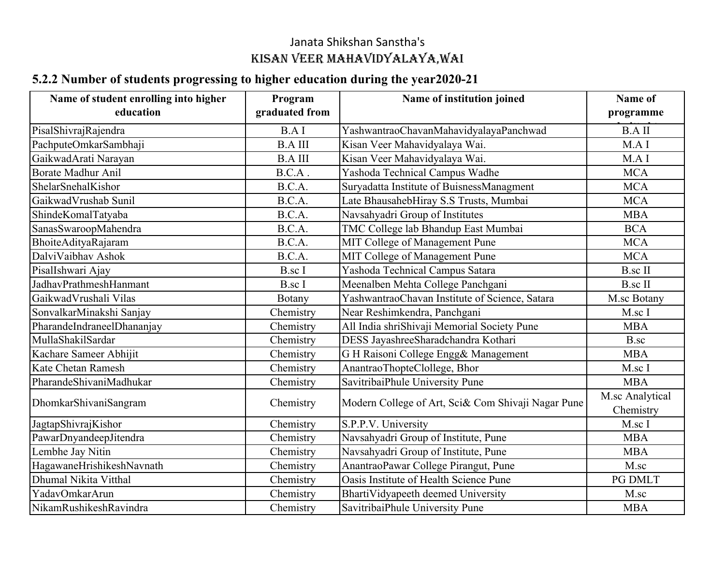## Janata Shikshan Sanstha'sKISAN VEER MAHAVIDYALAYA,WAI

## **5.2.2 Number of students progressing to higher education during the year2020-21**

| Name of student enrolling into higher | Program        | Name of institution joined                         | Name of                      |
|---------------------------------------|----------------|----------------------------------------------------|------------------------------|
| education                             | graduated from |                                                    | programme                    |
| PisalShivrajRajendra                  | <b>B.AI</b>    | YashwantraoChavanMahavidyalayaPanchwad             | <b>B.AII</b>                 |
| PachputeOmkarSambhaji                 | <b>B.A III</b> | Kisan Veer Mahavidyalaya Wai.                      | M.A I                        |
| GaikwadArati Narayan                  | <b>B.A III</b> | Kisan Veer Mahavidyalaya Wai.                      | M.A I                        |
| Borate Madhur Anil                    | B.C.A.         | Yashoda Technical Campus Wadhe                     | <b>MCA</b>                   |
| ShelarSnehalKishor                    | B.C.A.         | Suryadatta Institute of BuisnessManagment          | <b>MCA</b>                   |
| GaikwadVrushab Sunil                  | B.C.A.         | Late BhausahebHiray S.S Trusts, Mumbai             | <b>MCA</b>                   |
| ShindeKomalTatyaba                    | B.C.A.         | Navsahyadri Group of Institutes                    | <b>MBA</b>                   |
| SanasSwaroopMahendra                  | B.C.A.         | TMC College lab Bhandup East Mumbai                | <b>BCA</b>                   |
| BhoiteAdityaRajaram                   | B.C.A.         | MIT College of Management Pune                     | <b>MCA</b>                   |
| DalviVaibhav Ashok                    | B.C.A.         | MIT College of Management Pune                     | <b>MCA</b>                   |
| PisalIshwari Ajay                     | B.sc I         | Yashoda Technical Campus Satara                    | <b>B.sc II</b>               |
| JadhavPrathmeshHanmant                | <b>B.sc</b> I  | Meenalben Mehta College Panchgani                  | <b>B.sc II</b>               |
| GaikwadVrushali Vilas                 | Botany         | YashwantraoChavan Institute of Science, Satara     | M.sc Botany                  |
| SonvalkarMinakshi Sanjay              | Chemistry      | Near Reshimkendra, Panchgani                       | M.sc I                       |
| PharandeIndraneelDhananjay            | Chemistry      | All India shriShivaji Memorial Society Pune        | <b>MBA</b>                   |
| MullaShakilSardar                     | Chemistry      | DESS JayashreeSharadchandra Kothari                | B.sc                         |
| Kachare Sameer Abhijit                | Chemistry      | G H Raisoni College Engg& Management               | <b>MBA</b>                   |
| Kate Chetan Ramesh                    | Chemistry      | AnantraoThopteClollege, Bhor                       | M.sc I                       |
| PharandeShivaniMadhukar               | Chemistry      | SavitribaiPhule University Pune                    | <b>MBA</b>                   |
| DhomkarShivaniSangram                 | Chemistry      | Modern College of Art, Sci& Com Shivaji Nagar Pune | M.sc Analytical<br>Chemistry |
| JagtapShivrajKishor                   | Chemistry      | S.P.P.V. University                                | M.sc I                       |
| PawarDnyandeepJitendra                | Chemistry      | Navsahyadri Group of Institute, Pune               | <b>MBA</b>                   |
| Lembhe Jay Nitin                      | Chemistry      | Navsahyadri Group of Institute, Pune               | <b>MBA</b>                   |
| HagawaneHrishikeshNavnath             | Chemistry      | AnantraoPawar College Pirangut, Pune               | M.sc                         |
| Dhumal Nikita Vitthal                 | Chemistry      | Oasis Institute of Health Science Pune             | PG DMLT                      |
| YadavOmkarArun                        | Chemistry      | BhartiVidyapeeth deemed University                 | M.sc                         |
| NikamRushikeshRavindra                | Chemistry      | SavitribaiPhule University Pune                    | <b>MBA</b>                   |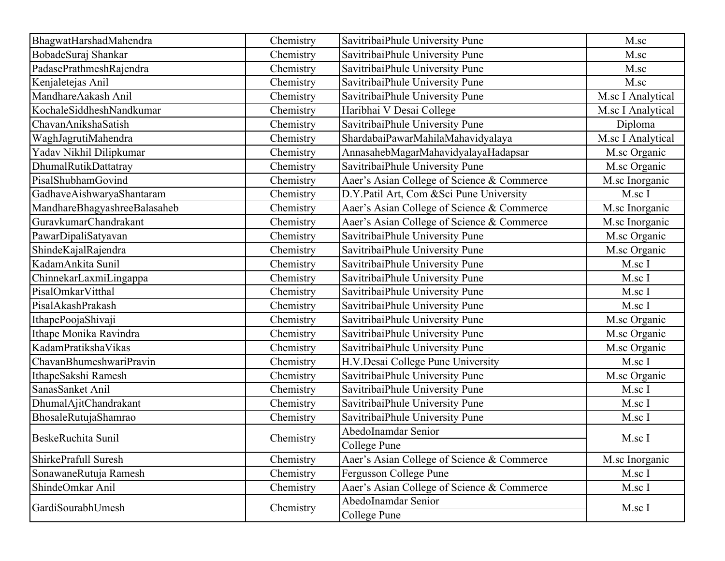| BhagwatHarshadMahendra       | Chemistry | SavitribaiPhule University Pune            | M.sc              |
|------------------------------|-----------|--------------------------------------------|-------------------|
| BobadeSuraj Shankar          | Chemistry | SavitribaiPhule University Pune            | M.sc              |
| PadasePrathmeshRajendra      | Chemistry | SavitribaiPhule University Pune            | $M$ .sc           |
| Kenjaletejas Anil            | Chemistry | SavitribaiPhule University Pune            | M.sc              |
| MandhareAakash Anil          | Chemistry | SavitribaiPhule University Pune            | M.sc I Analytical |
| KochaleSiddheshNandkumar     | Chemistry | Haribhai V Desai College                   | M.sc I Analytical |
| ChavanAnikshaSatish          | Chemistry | SavitribaiPhule University Pune            | Diploma           |
| WaghJagrutiMahendra          | Chemistry | ShardabaiPawarMahilaMahavidyalaya          | M.sc I Analytical |
| Yadav Nikhil Dilipkumar      | Chemistry | AnnasahebMagarMahavidyalayaHadapsar        | M.sc Organic      |
| DhumalRutikDattatray         | Chemistry | SavitribaiPhule University Pune            | M.sc Organic      |
| PisalShubhamGovind           | Chemistry | Aaer's Asian College of Science & Commerce | M.sc Inorganic    |
| GadhaveAishwaryaShantaram    | Chemistry | D.Y.Patil Art, Com &Sci Pune University    | M.sc I            |
| MandhareBhagyashreeBalasaheb | Chemistry | Aaer's Asian College of Science & Commerce | M.sc Inorganic    |
| GuravkumarChandrakant        | Chemistry | Aaer's Asian College of Science & Commerce | M.sc Inorganic    |
| PawarDipaliSatyavan          | Chemistry | SavitribaiPhule University Pune            | M.sc Organic      |
| ShindeKajalRajendra          | Chemistry | SavitribaiPhule University Pune            | M.sc Organic      |
| KadamAnkita Sunil            | Chemistry | SavitribaiPhule University Pune            | M.sc I            |
| ChinnekarLaxmiLingappa       | Chemistry | SavitribaiPhule University Pune            | M.sc I            |
| PisalOmkarVitthal            | Chemistry | SavitribaiPhule University Pune            | M.sc I            |
| PisalAkashPrakash            | Chemistry | SavitribaiPhule University Pune            | M.sc I            |
| IthapePoojaShivaji           | Chemistry | SavitribaiPhule University Pune            | M.sc Organic      |
| Ithape Monika Ravindra       | Chemistry | SavitribaiPhule University Pune            | M.sc Organic      |
| KadamPratikshaVikas          | Chemistry | SavitribaiPhule University Pune            | M.sc Organic      |
| ChavanBhumeshwariPravin      | Chemistry | H.V.Desai College Pune University          | M.sc I            |
| IthapeSakshi Ramesh          | Chemistry | SavitribaiPhule University Pune            | M.sc Organic      |
| SanasSanket Anil             | Chemistry | SavitribaiPhule University Pune            | M.sc I            |
| DhumalAjitChandrakant        | Chemistry | SavitribaiPhule University Pune            | M.sc I            |
| BhosaleRutujaShamrao         | Chemistry | SavitribaiPhule University Pune            | M.sc I            |
| BeskeRuchita Sunil           |           | AbedoInamdar Senior                        | M.sc I            |
|                              | Chemistry | College Pune                               |                   |
| ShirkePrafull Suresh         | Chemistry | Aaer's Asian College of Science & Commerce | M.sc Inorganic    |
| SonawaneRutuja Ramesh        | Chemistry | Fergusson College Pune                     | M.sc I            |
| ShindeOmkar Anil             | Chemistry | Aaer's Asian College of Science & Commerce | M.sc I            |
| GardiSourabhUmesh            |           | AbedoInamdar Senior                        |                   |
|                              | Chemistry | College Pune                               | M.sc I            |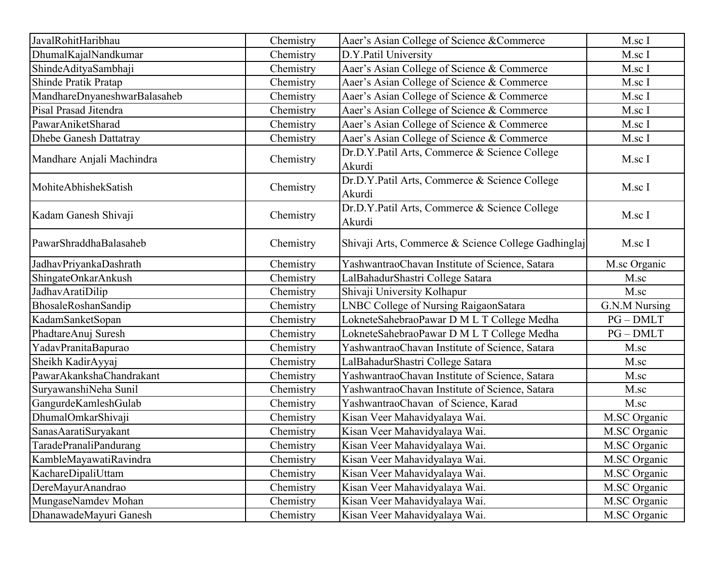| JavalRohitHaribhau           | Chemistry | Aaer's Asian College of Science &Commerce               | M.sc I        |
|------------------------------|-----------|---------------------------------------------------------|---------------|
| DhumalKajalNandkumar         | Chemistry | D.Y.Patil University                                    | M.sc I        |
| ShindeAdityaSambhaji         | Chemistry | Aaer's Asian College of Science & Commerce              | M.sc I        |
| Shinde Pratik Pratap         | Chemistry | Aaer's Asian College of Science & Commerce              | M.sc I        |
| MandhareDnyaneshwarBalasaheb | Chemistry | Aaer's Asian College of Science & Commerce              | M.sc I        |
| Pisal Prasad Jitendra        | Chemistry | Aaer's Asian College of Science & Commerce              | M.sc I        |
| PawarAniketSharad            | Chemistry | Aaer's Asian College of Science & Commerce              | M.sc I        |
| Dhebe Ganesh Dattatray       | Chemistry | Aaer's Asian College of Science & Commerce              | M.sc I        |
| Mandhare Anjali Machindra    | Chemistry | Dr.D.Y.Patil Arts, Commerce & Science College<br>Akurdi | M.sc I        |
| MohiteAbhishekSatish         | Chemistry | Dr.D.Y.Patil Arts, Commerce & Science College<br>Akurdi | M.sc I        |
| Kadam Ganesh Shivaji         | Chemistry | Dr.D.Y.Patil Arts, Commerce & Science College<br>Akurdi | M.sc I        |
| PawarShraddhaBalasaheb       | Chemistry | Shivaji Arts, Commerce & Science College Gadhinglaj     | M.sc I        |
| JadhavPriyankaDashrath       | Chemistry | YashwantraoChavan Institute of Science, Satara          | M.sc Organic  |
| ShingateOnkarAnkush          | Chemistry | LalBahadurShastri College Satara                        | M.sc          |
| JadhavAratiDilip             | Chemistry | Shivaji University Kolhapur                             | M.sc          |
| BhosaleRoshanSandip          | Chemistry | LNBC College of Nursing RaigaonSatara                   | G.N.M Nursing |
| KadamSanketSopan             | Chemistry | LokneteSahebraoPawar D M L T College Medha              | $PG-DMLT$     |
| PhadtareAnuj Suresh          | Chemistry | LokneteSahebraoPawar D M L T College Medha              | $PG-DMLT$     |
| YadavPranitaBapurao          | Chemistry | YashwantraoChavan Institute of Science, Satara          | M.sc          |
| Sheikh KadirAyyaj            | Chemistry | LalBahadurShastri College Satara                        | M.sc          |
| PawarAkankshaChandrakant     | Chemistry | YashwantraoChavan Institute of Science, Satara          | M.sc          |
| SuryawanshiNeha Sunil        | Chemistry | YashwantraoChavan Institute of Science, Satara          | M.sc          |
| GangurdeKamleshGulab         | Chemistry | YashwantraoChavan of Science, Karad                     | M.sc          |
| DhumalOmkarShivaji           | Chemistry | Kisan Veer Mahavidyalaya Wai.                           | M.SC Organic  |
| SanasAaratiSuryakant         | Chemistry | Kisan Veer Mahavidyalaya Wai.                           | M.SC Organic  |
| TaradePranaliPandurang       | Chemistry | Kisan Veer Mahavidyalaya Wai.                           | M.SC Organic  |
| KambleMayawatiRavindra       | Chemistry | Kisan Veer Mahavidyalaya Wai.                           | M.SC Organic  |
| KachareDipaliUttam           | Chemistry | Kisan Veer Mahavidyalaya Wai.                           | M.SC Organic  |
| DereMayurAnandrao            | Chemistry | Kisan Veer Mahavidyalaya Wai.                           | M.SC Organic  |
| MungaseNamdev Mohan          | Chemistry | Kisan Veer Mahavidyalaya Wai.                           | M.SC Organic  |
| DhanawadeMayuri Ganesh       | Chemistry | Kisan Veer Mahavidyalaya Wai.                           | M.SC Organic  |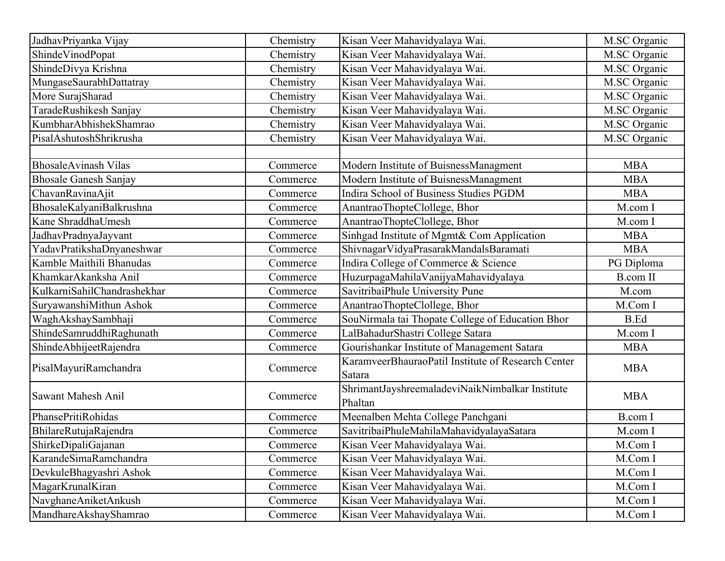| JadhavPriyanka Vijay         | Chemistry | Kisan Veer Mahavidyalaya Wai.                                | M.SC Organic    |
|------------------------------|-----------|--------------------------------------------------------------|-----------------|
| ShindeVinodPopat             | Chemistry | Kisan Veer Mahavidyalaya Wai.                                | M.SC Organic    |
| ShindeDivya Krishna          | Chemistry | Kisan Veer Mahavidyalaya Wai.                                | M.SC Organic    |
| MungaseSaurabhDattatray      | Chemistry | Kisan Veer Mahavidyalaya Wai.                                | M.SC Organic    |
| More SurajSharad             | Chemistry | Kisan Veer Mahavidyalaya Wai.                                | M.SC Organic    |
| TaradeRushikesh Sanjay       | Chemistry | Kisan Veer Mahavidyalaya Wai.                                | M.SC Organic    |
| KumbharAbhishekShamrao       | Chemistry | Kisan Veer Mahavidyalaya Wai.                                | M.SC Organic    |
| PisalAshutoshShrikrusha      | Chemistry | Kisan Veer Mahavidyalaya Wai.                                | M.SC Organic    |
|                              |           |                                                              |                 |
| <b>BhosaleAvinash Vilas</b>  | Commerce  | Modern Institute of BuisnessManagment                        | <b>MBA</b>      |
| <b>Bhosale Ganesh Sanjay</b> | Commerce  | Modern Institute of BuisnessManagment                        | <b>MBA</b>      |
| ChavanRavinaAjit             | Commerce  | Indira School of Business Studies PGDM                       | <b>MBA</b>      |
| BhosaleKalyaniBalkrushna     | Commerce  | AnantraoThopteClollege, Bhor                                 | M.com I         |
| Kane ShraddhaUmesh           | Commerce  | AnantraoThopteClollege, Bhor                                 | M.com I         |
| JadhavPradnyaJayvant         | Commerce  | Sinhgad Institute of Mgmt& Com Application                   | <b>MBA</b>      |
| YadavPratikshaDnyaneshwar    | Commerce  | ShivnagarVidyaPrasarakMandalsBaramati                        | <b>MBA</b>      |
| Kamble Maithili Bhanudas     | Commerce  | Indira College of Commerce & Science                         | PG Diploma      |
| KhamkarAkanksha Anil         | Commerce  | HuzurpagaMahilaVanijyaMahavidyalaya                          | <b>B.com II</b> |
| KulkarniSahilChandrashekhar  | Commerce  | SavitribaiPhule University Pune                              | M.com           |
| SuryawanshiMithun Ashok      | Commerce  | AnantraoThopteClollege, Bhor                                 | M.Com I         |
| WaghAkshaySambhaji           | Commerce  | SouNirmala tai Thopate College of Education Bhor             | <b>B.Ed</b>     |
| ShindeSamruddhiRaghunath     | Commerce  | LalBahadurShastri College Satara                             | M.com I         |
| ShindeAbhijeetRajendra       | Commerce  | Gourishankar Institute of Management Satara                  | <b>MBA</b>      |
| PisalMayuriRamchandra        | Commerce  | KaramveerBhauraoPatil Institute of Research Center<br>Satara | <b>MBA</b>      |
| <b>Sawant Mahesh Anil</b>    | Commerce  | ShrimantJayshreemaladeviNaikNimbalkar Institute<br>Phaltan   | <b>MBA</b>      |
| PhansePritiRohidas           | Commerce  | Meenalben Mehta College Panchgani                            | <b>B.com</b> I  |
| BhilareRutujaRajendra        | Commerce  | SavitribaiPhuleMahilaMahavidyalayaSatara                     | M.com I         |
| ShirkeDipaliGajanan          | Commerce  | Kisan Veer Mahavidyalaya Wai.                                | M.Com I         |
| KarandeSimaRamchandra        | Commerce  | Kisan Veer Mahavidyalaya Wai.                                | M.Com I         |
| DevkuleBhagyashri Ashok      | Commerce  | Kisan Veer Mahavidyalaya Wai.                                | M.Com I         |
| MagarKrunalKiran             | Commerce  | Kisan Veer Mahavidyalaya Wai.                                | M.Com I         |
| NavghaneAniketAnkush         | Commerce  | Kisan Veer Mahavidyalaya Wai.                                | M.Com I         |
| MandhareAkshayShamrao        | Commerce  | Kisan Veer Mahavidyalaya Wai.                                | M.Com I         |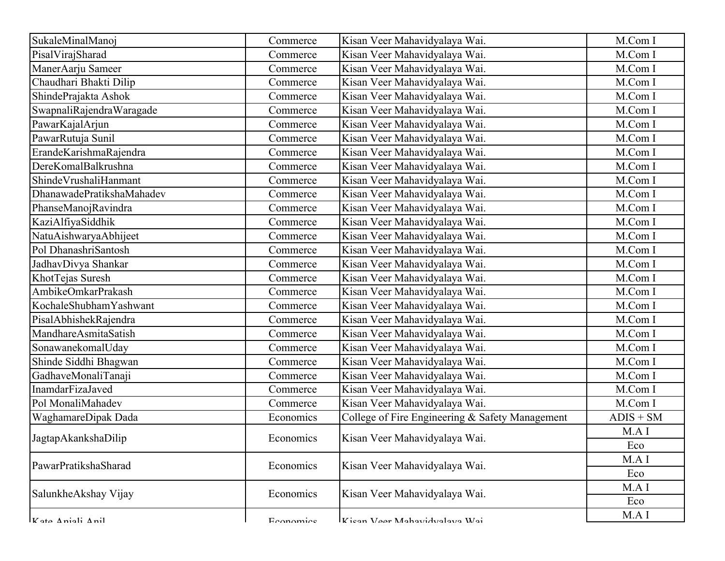| SukaleMinalManoj          | Commerce  | Kisan Veer Mahavidyalaya Wai.                   | M.Com I     |
|---------------------------|-----------|-------------------------------------------------|-------------|
| PisalVirajSharad          | Commerce  | Kisan Veer Mahavidyalaya Wai.                   | M.Com I     |
| ManerAarju Sameer         | Commerce  | Kisan Veer Mahavidyalaya Wai.                   | M.Com I     |
| Chaudhari Bhakti Dilip    | Commerce  | Kisan Veer Mahavidyalaya Wai.                   | M.Com I     |
| ShindePrajakta Ashok      | Commerce  | Kisan Veer Mahavidyalaya Wai.                   | M.Com I     |
| SwapnaliRajendraWaragade  | Commerce  | Kisan Veer Mahavidyalaya Wai.                   | M.Com I     |
| PawarKajalArjun           | Commerce  | Kisan Veer Mahavidyalaya Wai.                   | M.Com I     |
| PawarRutuja Sunil         | Commerce  | Kisan Veer Mahavidyalaya Wai.                   | M.Com I     |
| ErandeKarishmaRajendra    | Commerce  | Kisan Veer Mahavidyalaya Wai.                   | M.Com I     |
| DereKomalBalkrushna       | Commerce  | Kisan Veer Mahavidyalaya Wai.                   | M.Com I     |
| ShindeVrushaliHanmant     | Commerce  | Kisan Veer Mahavidyalaya Wai.                   | M.Com I     |
| DhanawadePratikshaMahadev | Commerce  | Kisan Veer Mahavidyalaya Wai.                   | M.Com I     |
| PhanseManojRavindra       | Commerce  | Kisan Veer Mahavidyalaya Wai.                   | M.Com I     |
| KaziAlfiyaSiddhik         | Commerce  | Kisan Veer Mahavidyalaya Wai.                   | M.Com I     |
| NatuAishwaryaAbhijeet     | Commerce  | Kisan Veer Mahavidyalaya Wai.                   | M.Com I     |
| Pol DhanashriSantosh      | Commerce  | Kisan Veer Mahavidyalaya Wai.                   | M.Com I     |
| JadhavDivya Shankar       | Commerce  | Kisan Veer Mahavidyalaya Wai.                   | M.Com I     |
| KhotTejas Suresh          | Commerce  | Kisan Veer Mahavidyalaya Wai.                   | M.Com I     |
| AmbikeOmkarPrakash        | Commerce  | Kisan Veer Mahavidyalaya Wai.                   | M.Com I     |
| KochaleShubhamYashwant    | Commerce  | Kisan Veer Mahavidyalaya Wai.                   | M.Com I     |
| PisalAbhishekRajendra     | Commerce  | Kisan Veer Mahavidyalaya Wai.                   | M.Com I     |
| MandhareAsmitaSatish      | Commerce  | Kisan Veer Mahavidyalaya Wai.                   | M.Com I     |
| SonawanekomalUday         | Commerce  | Kisan Veer Mahavidyalaya Wai.                   | M.Com I     |
| Shinde Siddhi Bhagwan     | Commerce  | Kisan Veer Mahavidyalaya Wai.                   | M.Com I     |
| GadhaveMonaliTanaji       | Commerce  | Kisan Veer Mahavidyalaya Wai.                   | M.Com I     |
| InamdarFizaJaved          | Commerce  | Kisan Veer Mahavidyalaya Wai.                   | M.Com I     |
| Pol MonaliMahadev         | Commerce  | Kisan Veer Mahavidyalaya Wai.                   | M.Com I     |
| WaghamareDipak Dada       | Economics | College of Fire Engineering & Safety Management | $ADIS + SM$ |
| JagtapAkankshaDilip       | Economics | Kisan Veer Mahavidyalaya Wai.                   | MAI         |
|                           |           |                                                 | Eco         |
| PawarPratikshaSharad      | Economics | Kisan Veer Mahavidyalaya Wai.                   | M.A I       |
|                           |           |                                                 | Eco         |
| SalunkheAkshay Vijay      | Economics | Kisan Veer Mahavidyalaya Wai.                   | M.A I       |
|                           |           |                                                 | Eco         |
| Vota Aniali Anil          | Economica | Kisan Vaar Mahavidvalava Wai                    | M.A I       |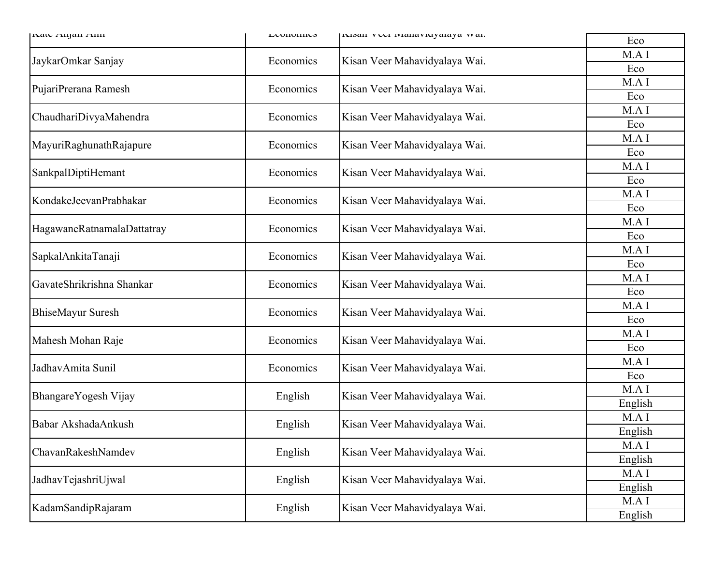| INAW Alijan Ann            | L'UNUNINO | INISAH VULI IVIAHAVIUYAIAYA VVAI. | Eco     |
|----------------------------|-----------|-----------------------------------|---------|
| JaykarOmkar Sanjay         | Economics | Kisan Veer Mahavidyalaya Wai.     | M.A I   |
|                            |           |                                   | Eco     |
| PujariPrerana Ramesh       | Economics | Kisan Veer Mahavidyalaya Wai.     | M.A I   |
|                            |           |                                   | Eco     |
| ChaudhariDivyaMahendra     | Economics | Kisan Veer Mahavidyalaya Wai.     | M.A I   |
|                            |           |                                   | Eco     |
| MayuriRaghunathRajapure    | Economics | Kisan Veer Mahavidyalaya Wai.     | M.A I   |
|                            |           |                                   | Eco     |
| SankpalDiptiHemant         | Economics | Kisan Veer Mahavidyalaya Wai.     | M.A I   |
|                            |           |                                   | Eco     |
| KondakeJeevanPrabhakar     | Economics | Kisan Veer Mahavidyalaya Wai.     | M.A I   |
|                            |           |                                   | Eco     |
| HagawaneRatnamalaDattatray | Economics | Kisan Veer Mahavidyalaya Wai.     | M.A I   |
|                            |           |                                   | Eco     |
| SapkalAnkitaTanaji         | Economics | Kisan Veer Mahavidyalaya Wai.     | M.A I   |
|                            |           |                                   | Eco     |
| GavateShrikrishna Shankar  | Economics | Kisan Veer Mahavidyalaya Wai.     | M.A I   |
|                            |           |                                   | Eco     |
| <b>BhiseMayur Suresh</b>   | Economics | Kisan Veer Mahavidyalaya Wai.     | M.A I   |
|                            |           |                                   | Eco     |
| Mahesh Mohan Raje          | Economics | Kisan Veer Mahavidyalaya Wai.     | M.A I   |
|                            |           |                                   | Eco     |
| JadhavAmita Sunil          | Economics | Kisan Veer Mahavidyalaya Wai.     | M.A I   |
|                            |           |                                   | Eco     |
| BhangareYogesh Vijay       | English   | Kisan Veer Mahavidyalaya Wai.     | M.A I   |
|                            |           |                                   | English |
| Babar AkshadaAnkush        | English   | Kisan Veer Mahavidyalaya Wai.     | M.A I   |
|                            |           |                                   | English |
| ChavanRakeshNamdev         | English   | Kisan Veer Mahavidyalaya Wai.     | M.A I   |
|                            |           |                                   | English |
| JadhavTejashriUjwal        | English   | Kisan Veer Mahavidyalaya Wai.     | M.A I   |
|                            |           |                                   | English |
| KadamSandipRajaram         | English   | Kisan Veer Mahavidyalaya Wai.     | M.A I   |
|                            |           |                                   | English |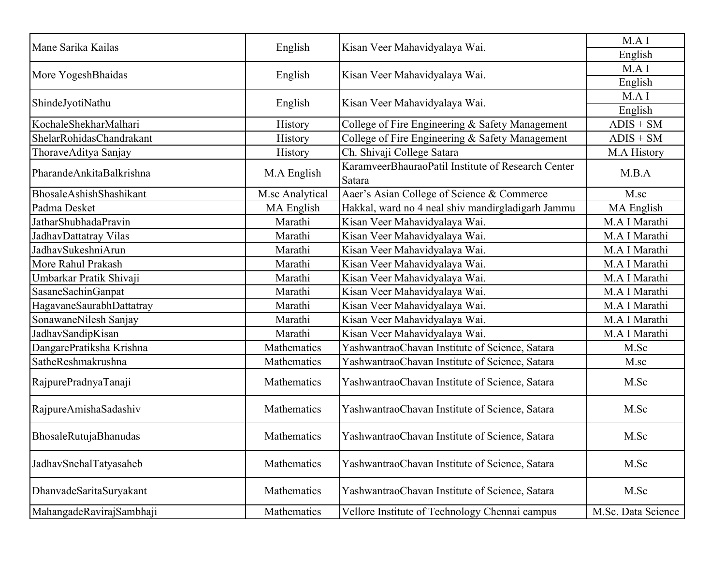| Mane Sarika Kailas       | English         | Kisan Veer Mahavidyalaya Wai.                                | M.A I              |
|--------------------------|-----------------|--------------------------------------------------------------|--------------------|
|                          |                 |                                                              | English            |
| More YogeshBhaidas       | English         | Kisan Veer Mahavidyalaya Wai.                                | M.A I              |
|                          |                 |                                                              | English            |
| ShindeJyotiNathu         | English         | Kisan Veer Mahavidyalaya Wai.                                | M.A I              |
|                          |                 |                                                              | English            |
| KochaleShekharMalhari    | History         | College of Fire Engineering & Safety Management              | $ADIS + SM$        |
| ShelarRohidasChandrakant | History         | College of Fire Engineering & Safety Management              | $ADIS + SM$        |
| ThoraveAditya Sanjay     | History         | Ch. Shivaji College Satara                                   | M.A History        |
| PharandeAnkitaBalkrishna | M.A English     | KaramveerBhauraoPatil Institute of Research Center<br>Satara | M.B.A              |
| BhosaleAshishShashikant  | M.sc Analytical | Aaer's Asian College of Science & Commerce                   | M.sc               |
| Padma Desket             | MA English      | Hakkal, ward no 4 neal shiv mandirgladigarh Jammu            | MA English         |
| JatharShubhadaPravin     | Marathi         | Kisan Veer Mahavidyalaya Wai.                                | M.A I Marathi      |
| JadhavDattatray Vilas    | Marathi         | Kisan Veer Mahavidyalaya Wai.                                | M.A I Marathi      |
| JadhavSukeshniArun       | Marathi         | Kisan Veer Mahavidyalaya Wai.                                | M.A I Marathi      |
| More Rahul Prakash       | Marathi         | Kisan Veer Mahavidyalaya Wai.                                | M.A I Marathi      |
| Umbarkar Pratik Shivaji  | Marathi         | Kisan Veer Mahavidyalaya Wai.                                | M.A I Marathi      |
| SasaneSachinGanpat       | Marathi         | Kisan Veer Mahavidyalaya Wai.                                | M.A I Marathi      |
| HagavaneSaurabhDattatray | Marathi         | Kisan Veer Mahavidyalaya Wai.                                | M.A I Marathi      |
| SonawaneNilesh Sanjay    | Marathi         | Kisan Veer Mahavidyalaya Wai.                                | M.A I Marathi      |
| JadhavSandipKisan        | Marathi         | Kisan Veer Mahavidyalaya Wai.                                | M.A I Marathi      |
| DangarePratiksha Krishna | Mathematics     | YashwantraoChavan Institute of Science, Satara               | M.Sc               |
| SatheReshmakrushna       | Mathematics     | YashwantraoChavan Institute of Science, Satara               | M.sc               |
| RajpurePradnyaTanaji     | Mathematics     | YashwantraoChavan Institute of Science, Satara               | M.Sc               |
| RajpureAmishaSadashiv    | Mathematics     | YashwantraoChavan Institute of Science, Satara               | M.Sc               |
| BhosaleRutujaBhanudas    | Mathematics     | YashwantraoChavan Institute of Science, Satara               | M.Sc               |
| JadhavSnehalTatyasaheb   | Mathematics     | YashwantraoChavan Institute of Science, Satara               | M.Sc               |
| DhanvadeSaritaSuryakant  | Mathematics     | YashwantraoChavan Institute of Science, Satara               | M.Sc               |
| MahangadeRavirajSambhaji | Mathematics     | Vellore Institute of Technology Chennai campus               | M.Sc. Data Science |